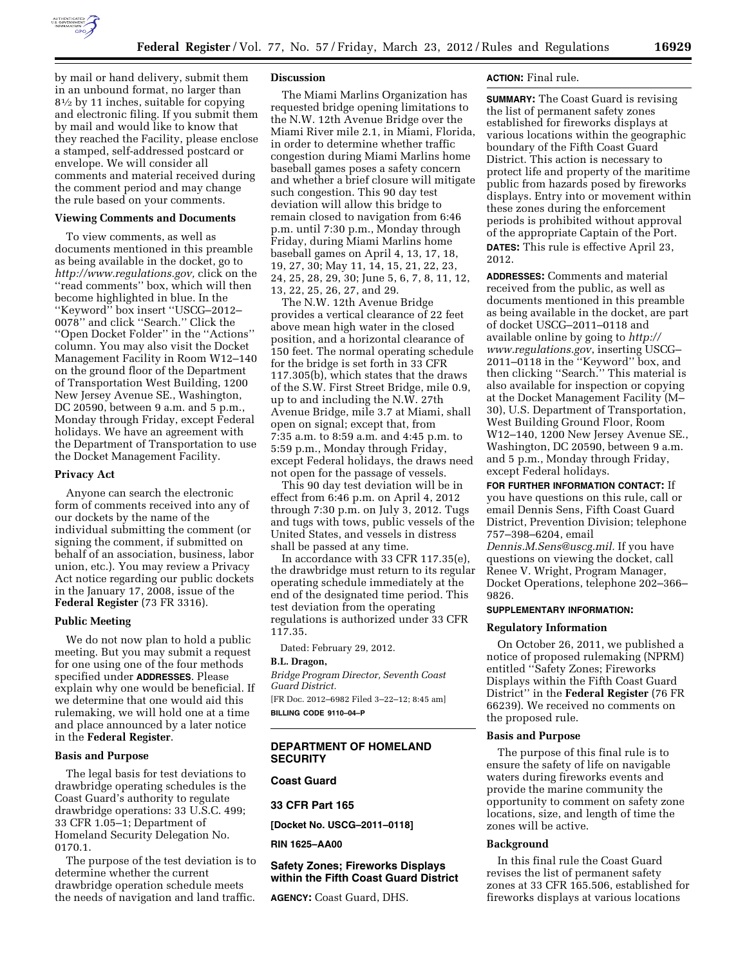

by mail or hand delivery, submit them in an unbound format, no larger than 81⁄2 by 11 inches, suitable for copying and electronic filing. If you submit them by mail and would like to know that they reached the Facility, please enclose a stamped, self-addressed postcard or envelope. We will consider all comments and material received during the comment period and may change the rule based on your comments.

#### **Viewing Comments and Documents**

To view comments, as well as documents mentioned in this preamble as being available in the docket, go to *[http://www.regulations.gov,](http://www.regulations.gov)* click on the ''read comments'' box, which will then become highlighted in blue. In the ''Keyword'' box insert ''USCG–2012– 0078'' and click ''Search.'' Click the ''Open Docket Folder'' in the ''Actions'' column. You may also visit the Docket Management Facility in Room W12–140 on the ground floor of the Department of Transportation West Building, 1200 New Jersey Avenue SE., Washington, DC 20590, between 9 a.m. and 5 p.m., Monday through Friday, except Federal holidays. We have an agreement with the Department of Transportation to use the Docket Management Facility.

#### **Privacy Act**

Anyone can search the electronic form of comments received into any of our dockets by the name of the individual submitting the comment (or signing the comment, if submitted on behalf of an association, business, labor union, etc.). You may review a Privacy Act notice regarding our public dockets in the January 17, 2008, issue of the **Federal Register** (73 FR 3316).

#### **Public Meeting**

We do not now plan to hold a public meeting. But you may submit a request for one using one of the four methods specified under **ADDRESSES**. Please explain why one would be beneficial. If we determine that one would aid this rulemaking, we will hold one at a time and place announced by a later notice in the **Federal Register**.

## **Basis and Purpose**

The legal basis for test deviations to drawbridge operating schedules is the Coast Guard's authority to regulate drawbridge operations: 33 U.S.C. 499; 33 CFR 1.05–1; Department of Homeland Security Delegation No. 0170.1.

The purpose of the test deviation is to determine whether the current drawbridge operation schedule meets the needs of navigation and land traffic.

#### **Discussion**

The Miami Marlins Organization has requested bridge opening limitations to the N.W. 12th Avenue Bridge over the Miami River mile 2.1, in Miami, Florida, in order to determine whether traffic congestion during Miami Marlins home baseball games poses a safety concern and whether a brief closure will mitigate such congestion. This 90 day test deviation will allow this bridge to remain closed to navigation from 6:46 p.m. until 7:30 p.m., Monday through Friday, during Miami Marlins home baseball games on April 4, 13, 17, 18, 19, 27, 30; May 11, 14, 15, 21, 22, 23, 24, 25, 28, 29, 30; June 5, 6, 7, 8, 11, 12, 13, 22, 25, 26, 27, and 29.

The N.W. 12th Avenue Bridge provides a vertical clearance of 22 feet above mean high water in the closed position, and a horizontal clearance of 150 feet. The normal operating schedule for the bridge is set forth in 33 CFR 117.305(b), which states that the draws of the S.W. First Street Bridge, mile 0.9, up to and including the N.W. 27th Avenue Bridge, mile 3.7 at Miami, shall open on signal; except that, from 7:35 a.m. to 8:59 a.m. and 4:45 p.m. to 5:59 p.m., Monday through Friday, except Federal holidays, the draws need not open for the passage of vessels.

This 90 day test deviation will be in effect from 6:46 p.m. on April 4, 2012 through 7:30 p.m. on July 3, 2012. Tugs and tugs with tows, public vessels of the United States, and vessels in distress shall be passed at any time.

In accordance with 33 CFR 117.35(e), the drawbridge must return to its regular operating schedule immediately at the end of the designated time period. This test deviation from the operating regulations is authorized under 33 CFR 117.35.

Dated: February 29, 2012.

#### **B.L. Dragon,**

*Bridge Program Director, Seventh Coast Guard District.* 

[FR Doc. 2012–6982 Filed 3–22–12; 8:45 am] **BILLING CODE 9110–04–P** 

## **DEPARTMENT OF HOMELAND SECURITY**

#### **Coast Guard**

## **33 CFR Part 165**

**[Docket No. USCG–2011–0118]** 

#### **RIN 1625–AA00**

## **Safety Zones; Fireworks Displays within the Fifth Coast Guard District**

**AGENCY:** Coast Guard, DHS.

#### **ACTION:** Final rule.

**SUMMARY:** The Coast Guard is revising the list of permanent safety zones established for fireworks displays at various locations within the geographic boundary of the Fifth Coast Guard District. This action is necessary to protect life and property of the maritime public from hazards posed by fireworks displays. Entry into or movement within these zones during the enforcement periods is prohibited without approval of the appropriate Captain of the Port. **DATES:** This rule is effective April 23, 2012.

**ADDRESSES:** Comments and material received from the public, as well as documents mentioned in this preamble as being available in the docket, are part of docket USCG–2011–0118 and available online by going to *[http://](http://www.regulations.gov)  [www.regulations.gov](http://www.regulations.gov)*, inserting USCG– 2011–0118 in the ''Keyword'' box, and then clicking ''Search.'' This material is also available for inspection or copying at the Docket Management Facility (M– 30), U.S. Department of Transportation, West Building Ground Floor, Room W12–140, 1200 New Jersey Avenue SE., Washington, DC 20590, between 9 a.m. and 5 p.m., Monday through Friday, except Federal holidays.

**FOR FURTHER INFORMATION CONTACT:** If you have questions on this rule, call or email Dennis Sens, Fifth Coast Guard District, Prevention Division; telephone 757–398–6204, email *[Dennis.M.Sens@uscg.mil.](mailto:Dennis.M.Sens@uscg.mil)* If you have

questions on viewing the docket, call Renee V. Wright, Program Manager, Docket Operations, telephone 202–366– 9826.

#### **SUPPLEMENTARY INFORMATION:**

#### **Regulatory Information**

On October 26, 2011, we published a notice of proposed rulemaking (NPRM) entitled ''Safety Zones; Fireworks Displays within the Fifth Coast Guard District'' in the **Federal Register** (76 FR 66239). We received no comments on the proposed rule.

## **Basis and Purpose**

The purpose of this final rule is to ensure the safety of life on navigable waters during fireworks events and provide the marine community the opportunity to comment on safety zone locations, size, and length of time the zones will be active.

## **Background**

In this final rule the Coast Guard revises the list of permanent safety zones at 33 CFR 165.506, established for fireworks displays at various locations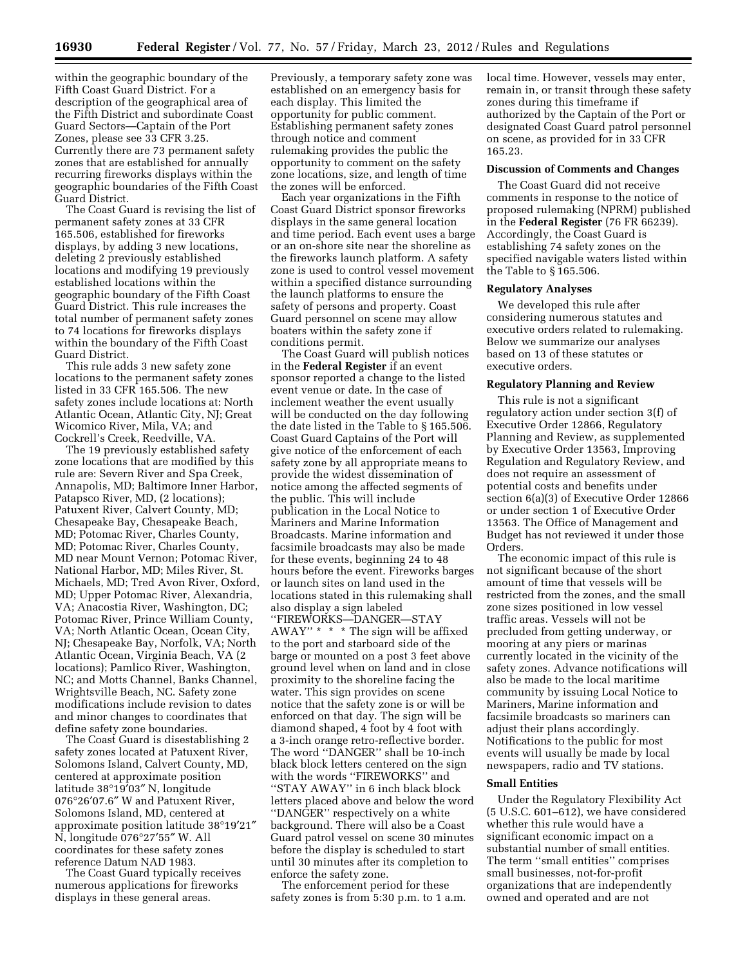within the geographic boundary of the Fifth Coast Guard District. For a description of the geographical area of the Fifth District and subordinate Coast Guard Sectors—Captain of the Port Zones, please see 33 CFR 3.25. Currently there are 73 permanent safety zones that are established for annually recurring fireworks displays within the geographic boundaries of the Fifth Coast Guard District.

The Coast Guard is revising the list of permanent safety zones at 33 CFR 165.506, established for fireworks displays, by adding 3 new locations, deleting 2 previously established locations and modifying 19 previously established locations within the geographic boundary of the Fifth Coast Guard District. This rule increases the total number of permanent safety zones to 74 locations for fireworks displays within the boundary of the Fifth Coast Guard District.

This rule adds 3 new safety zone locations to the permanent safety zones listed in 33 CFR 165.506. The new safety zones include locations at: North Atlantic Ocean, Atlantic City, NJ; Great Wicomico River, Mila, VA; and Cockrell's Creek, Reedville, VA.

The 19 previously established safety zone locations that are modified by this rule are: Severn River and Spa Creek, Annapolis, MD; Baltimore Inner Harbor, Patapsco River, MD, (2 locations); Patuxent River, Calvert County, MD; Chesapeake Bay, Chesapeake Beach, MD; Potomac River, Charles County, MD; Potomac River, Charles County, MD near Mount Vernon; Potomac River, National Harbor, MD; Miles River, St. Michaels, MD; Tred Avon River, Oxford, MD; Upper Potomac River, Alexandria, VA; Anacostia River, Washington, DC; Potomac River, Prince William County, VA; North Atlantic Ocean, Ocean City, NJ; Chesapeake Bay, Norfolk, VA; North Atlantic Ocean, Virginia Beach, VA (2 locations); Pamlico River, Washington, NC; and Motts Channel, Banks Channel, Wrightsville Beach, NC. Safety zone modifications include revision to dates and minor changes to coordinates that define safety zone boundaries.

The Coast Guard is disestablishing 2 safety zones located at Patuxent River, Solomons Island, Calvert County, MD, centered at approximate position latitude 38°19′03″ N, longitude 076°26′07.6″ W and Patuxent River, Solomons Island, MD, centered at approximate position latitude 38°19′21″ N, longitude 076°27′55″ W. All coordinates for these safety zones reference Datum NAD 1983.

The Coast Guard typically receives numerous applications for fireworks displays in these general areas.

Previously, a temporary safety zone was established on an emergency basis for each display. This limited the opportunity for public comment. Establishing permanent safety zones through notice and comment rulemaking provides the public the opportunity to comment on the safety zone locations, size, and length of time the zones will be enforced.

Each year organizations in the Fifth Coast Guard District sponsor fireworks displays in the same general location and time period. Each event uses a barge or an on-shore site near the shoreline as the fireworks launch platform. A safety zone is used to control vessel movement within a specified distance surrounding the launch platforms to ensure the safety of persons and property. Coast Guard personnel on scene may allow boaters within the safety zone if conditions permit.

The Coast Guard will publish notices in the **Federal Register** if an event sponsor reported a change to the listed event venue or date. In the case of inclement weather the event usually will be conducted on the day following the date listed in the Table to § 165.506. Coast Guard Captains of the Port will give notice of the enforcement of each safety zone by all appropriate means to provide the widest dissemination of notice among the affected segments of the public. This will include publication in the Local Notice to Mariners and Marine Information Broadcasts. Marine information and facsimile broadcasts may also be made for these events, beginning 24 to 48 hours before the event. Fireworks barges or launch sites on land used in the locations stated in this rulemaking shall also display a sign labeled ''FIREWORKS—DANGER—STAY AWAY'' \* \* \* The sign will be affixed to the port and starboard side of the barge or mounted on a post 3 feet above ground level when on land and in close proximity to the shoreline facing the water. This sign provides on scene notice that the safety zone is or will be enforced on that day. The sign will be diamond shaped, 4 foot by 4 foot with a 3-inch orange retro-reflective border. The word ''DANGER'' shall be 10-inch black block letters centered on the sign with the words ''FIREWORKS'' and ''STAY AWAY'' in 6 inch black block letters placed above and below the word ''DANGER'' respectively on a white background. There will also be a Coast Guard patrol vessel on scene 30 minutes before the display is scheduled to start until 30 minutes after its completion to enforce the safety zone.

The enforcement period for these safety zones is from 5:30 p.m. to 1 a.m. local time. However, vessels may enter, remain in, or transit through these safety zones during this timeframe if authorized by the Captain of the Port or designated Coast Guard patrol personnel on scene, as provided for in 33 CFR 165.23.

#### **Discussion of Comments and Changes**

The Coast Guard did not receive comments in response to the notice of proposed rulemaking (NPRM) published in the **Federal Register** (76 FR 66239). Accordingly, the Coast Guard is establishing 74 safety zones on the specified navigable waters listed within the Table to § 165.506.

#### **Regulatory Analyses**

We developed this rule after considering numerous statutes and executive orders related to rulemaking. Below we summarize our analyses based on 13 of these statutes or executive orders.

## **Regulatory Planning and Review**

This rule is not a significant regulatory action under section 3(f) of Executive Order 12866, Regulatory Planning and Review, as supplemented by Executive Order 13563, Improving Regulation and Regulatory Review, and does not require an assessment of potential costs and benefits under section 6(a)(3) of Executive Order 12866 or under section 1 of Executive Order 13563. The Office of Management and Budget has not reviewed it under those Orders.

The economic impact of this rule is not significant because of the short amount of time that vessels will be restricted from the zones, and the small zone sizes positioned in low vessel traffic areas. Vessels will not be precluded from getting underway, or mooring at any piers or marinas currently located in the vicinity of the safety zones. Advance notifications will also be made to the local maritime community by issuing Local Notice to Mariners, Marine information and facsimile broadcasts so mariners can adjust their plans accordingly. Notifications to the public for most events will usually be made by local newspapers, radio and TV stations.

#### **Small Entities**

Under the Regulatory Flexibility Act (5 U.S.C. 601–612), we have considered whether this rule would have a significant economic impact on a substantial number of small entities. The term ''small entities'' comprises small businesses, not-for-profit organizations that are independently owned and operated and are not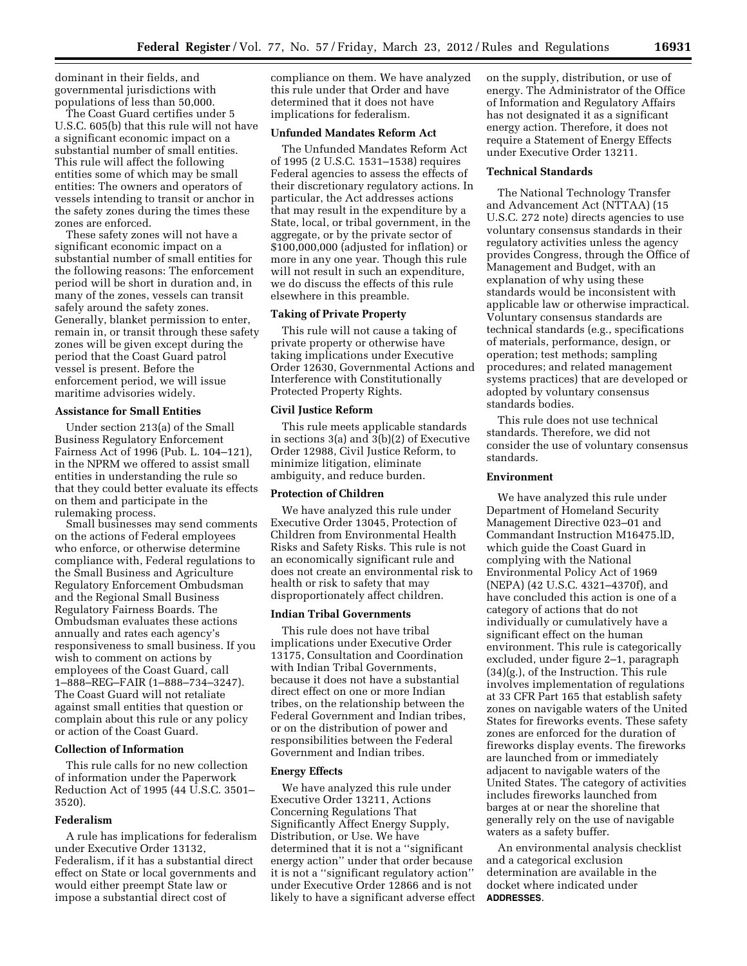dominant in their fields, and governmental jurisdictions with populations of less than 50,000.

The Coast Guard certifies under 5 U.S.C. 605(b) that this rule will not have a significant economic impact on a substantial number of small entities. This rule will affect the following entities some of which may be small entities: The owners and operators of vessels intending to transit or anchor in the safety zones during the times these zones are enforced.

These safety zones will not have a significant economic impact on a substantial number of small entities for the following reasons: The enforcement period will be short in duration and, in many of the zones, vessels can transit safely around the safety zones. Generally, blanket permission to enter, remain in, or transit through these safety zones will be given except during the period that the Coast Guard patrol vessel is present. Before the enforcement period, we will issue maritime advisories widely.

### **Assistance for Small Entities**

Under section 213(a) of the Small Business Regulatory Enforcement Fairness Act of 1996 (Pub. L. 104–121), in the NPRM we offered to assist small entities in understanding the rule so that they could better evaluate its effects on them and participate in the rulemaking process.

Small businesses may send comments on the actions of Federal employees who enforce, or otherwise determine compliance with, Federal regulations to the Small Business and Agriculture Regulatory Enforcement Ombudsman and the Regional Small Business Regulatory Fairness Boards. The Ombudsman evaluates these actions annually and rates each agency's responsiveness to small business. If you wish to comment on actions by employees of the Coast Guard, call 1–888–REG–FAIR (1–888–734–3247). The Coast Guard will not retaliate against small entities that question or complain about this rule or any policy or action of the Coast Guard.

## **Collection of Information**

This rule calls for no new collection of information under the Paperwork Reduction Act of 1995 (44 U.S.C. 3501– 3520).

#### **Federalism**

A rule has implications for federalism under Executive Order 13132, Federalism, if it has a substantial direct effect on State or local governments and would either preempt State law or impose a substantial direct cost of

compliance on them. We have analyzed this rule under that Order and have determined that it does not have implications for federalism.

## **Unfunded Mandates Reform Act**

The Unfunded Mandates Reform Act of 1995 (2 U.S.C. 1531–1538) requires Federal agencies to assess the effects of their discretionary regulatory actions. In particular, the Act addresses actions that may result in the expenditure by a State, local, or tribal government, in the aggregate, or by the private sector of \$100,000,000 (adjusted for inflation) or more in any one year. Though this rule will not result in such an expenditure, we do discuss the effects of this rule elsewhere in this preamble.

## **Taking of Private Property**

This rule will not cause a taking of private property or otherwise have taking implications under Executive Order 12630, Governmental Actions and Interference with Constitutionally Protected Property Rights.

## **Civil Justice Reform**

This rule meets applicable standards in sections 3(a) and 3(b)(2) of Executive Order 12988, Civil Justice Reform, to minimize litigation, eliminate ambiguity, and reduce burden.

## **Protection of Children**

We have analyzed this rule under Executive Order 13045, Protection of Children from Environmental Health Risks and Safety Risks. This rule is not an economically significant rule and does not create an environmental risk to health or risk to safety that may disproportionately affect children.

#### **Indian Tribal Governments**

This rule does not have tribal implications under Executive Order 13175, Consultation and Coordination with Indian Tribal Governments, because it does not have a substantial direct effect on one or more Indian tribes, on the relationship between the Federal Government and Indian tribes, or on the distribution of power and responsibilities between the Federal Government and Indian tribes.

### **Energy Effects**

We have analyzed this rule under Executive Order 13211, Actions Concerning Regulations That Significantly Affect Energy Supply, Distribution, or Use. We have determined that it is not a ''significant energy action'' under that order because it is not a ''significant regulatory action'' under Executive Order 12866 and is not likely to have a significant adverse effect on the supply, distribution, or use of energy. The Administrator of the Office of Information and Regulatory Affairs has not designated it as a significant energy action. Therefore, it does not require a Statement of Energy Effects under Executive Order 13211.

#### **Technical Standards**

The National Technology Transfer and Advancement Act (NTTAA) (15 U.S.C. 272 note) directs agencies to use voluntary consensus standards in their regulatory activities unless the agency provides Congress, through the Office of Management and Budget, with an explanation of why using these standards would be inconsistent with applicable law or otherwise impractical. Voluntary consensus standards are technical standards (e.g., specifications of materials, performance, design, or operation; test methods; sampling procedures; and related management systems practices) that are developed or adopted by voluntary consensus standards bodies.

This rule does not use technical standards. Therefore, we did not consider the use of voluntary consensus standards.

## **Environment**

We have analyzed this rule under Department of Homeland Security Management Directive 023–01 and Commandant Instruction M16475.lD, which guide the Coast Guard in complying with the National Environmental Policy Act of 1969 (NEPA) (42 U.S.C. 4321–4370f), and have concluded this action is one of a category of actions that do not individually or cumulatively have a significant effect on the human environment. This rule is categorically excluded, under figure 2–1, paragraph (34)(g.), of the Instruction. This rule involves implementation of regulations at 33 CFR Part 165 that establish safety zones on navigable waters of the United States for fireworks events. These safety zones are enforced for the duration of fireworks display events. The fireworks are launched from or immediately adjacent to navigable waters of the United States. The category of activities includes fireworks launched from barges at or near the shoreline that generally rely on the use of navigable waters as a safety buffer.

An environmental analysis checklist and a categorical exclusion determination are available in the docket where indicated under **ADDRESSES**.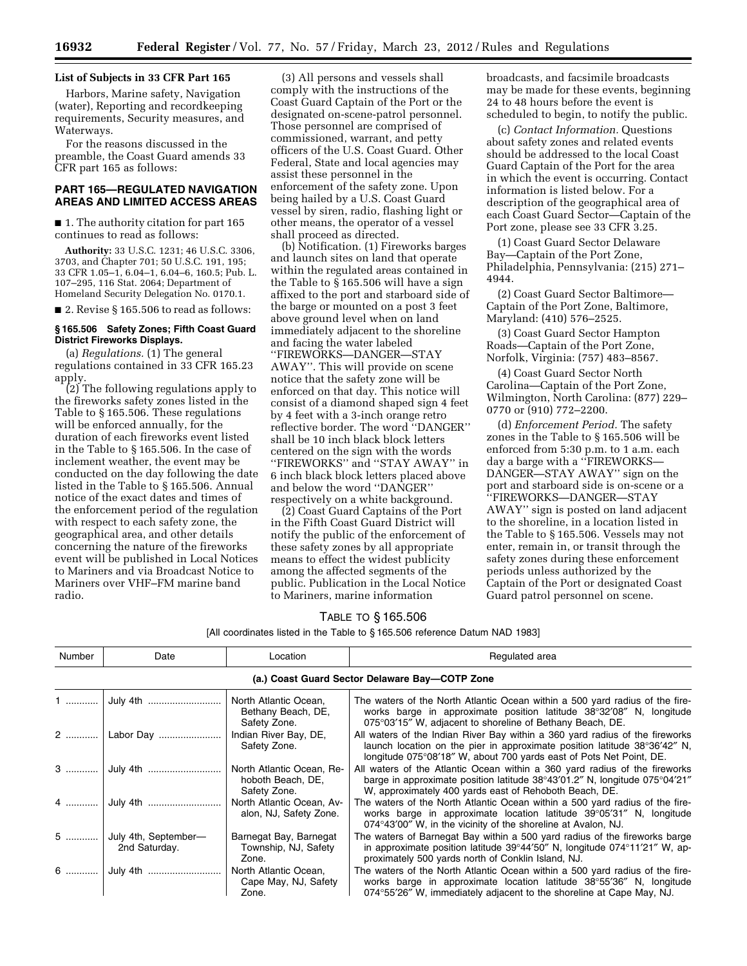## **List of Subjects in 33 CFR Part 165**

Harbors, Marine safety, Navigation (water), Reporting and recordkeeping requirements, Security measures, and Waterways.

For the reasons discussed in the preamble, the Coast Guard amends 33 CFR part 165 as follows:

## **PART 165—REGULATED NAVIGATION AREAS AND LIMITED ACCESS AREAS**

■ 1. The authority citation for part 165 continues to read as follows:

**Authority:** 33 U.S.C. 1231; 46 U.S.C. 3306, 3703, and Chapter 701; 50 U.S.C. 191, 195; 33 CFR 1.05–1, 6.04–1, 6.04–6, 160.5; Pub. L. 107–295, 116 Stat. 2064; Department of Homeland Security Delegation No. 0170.1.

■ 2. Revise § 165.506 to read as follows:

## **§ 165.506 Safety Zones; Fifth Coast Guard District Fireworks Displays.**

(a) *Regulations.* (1) The general regulations contained in 33 CFR 165.23 apply.

(2) The following regulations apply to the fireworks safety zones listed in the Table to § 165.506. These regulations will be enforced annually, for the duration of each fireworks event listed in the Table to § 165.506. In the case of inclement weather, the event may be conducted on the day following the date listed in the Table to § 165.506. Annual notice of the exact dates and times of the enforcement period of the regulation with respect to each safety zone, the geographical area, and other details concerning the nature of the fireworks event will be published in Local Notices to Mariners and via Broadcast Notice to Mariners over VHF–FM marine band radio.

(3) All persons and vessels shall comply with the instructions of the Coast Guard Captain of the Port or the designated on-scene-patrol personnel. Those personnel are comprised of commissioned, warrant, and petty officers of the U.S. Coast Guard. Other Federal, State and local agencies may assist these personnel in the enforcement of the safety zone. Upon being hailed by a U.S. Coast Guard vessel by siren, radio, flashing light or other means, the operator of a vessel shall proceed as directed.

(b) Notification. (1) Fireworks barges and launch sites on land that operate within the regulated areas contained in the Table to § 165.506 will have a sign affixed to the port and starboard side of the barge or mounted on a post 3 feet above ground level when on land immediately adjacent to the shoreline and facing the water labeled ''FIREWORKS—DANGER—STAY AWAY''. This will provide on scene notice that the safety zone will be enforced on that day. This notice will consist of a diamond shaped sign 4 feet by 4 feet with a 3-inch orange retro reflective border. The word ''DANGER'' shall be 10 inch black block letters centered on the sign with the words ''FIREWORKS'' and ''STAY AWAY'' in 6 inch black block letters placed above and below the word ''DANGER'' respectively on a white background.

(2) Coast Guard Captains of the Port in the Fifth Coast Guard District will notify the public of the enforcement of these safety zones by all appropriate means to effect the widest publicity among the affected segments of the public. Publication in the Local Notice to Mariners, marine information

broadcasts, and facsimile broadcasts may be made for these events, beginning 24 to 48 hours before the event is scheduled to begin, to notify the public.

(c) *Contact Information.* Questions about safety zones and related events should be addressed to the local Coast Guard Captain of the Port for the area in which the event is occurring. Contact information is listed below. For a description of the geographical area of each Coast Guard Sector—Captain of the Port zone, please see 33 CFR 3.25.

(1) Coast Guard Sector Delaware Bay—Captain of the Port Zone, Philadelphia, Pennsylvania: (215) 271– 4944.

(2) Coast Guard Sector Baltimore— Captain of the Port Zone, Baltimore, Maryland: (410) 576–2525.

(3) Coast Guard Sector Hampton Roads—Captain of the Port Zone, Norfolk, Virginia: (757) 483–8567.

(4) Coast Guard Sector North Carolina—Captain of the Port Zone, Wilmington, North Carolina: (877) 229– 0770 or (910) 772–2200.

(d) *Enforcement Period.* The safety zones in the Table to § 165.506 will be enforced from 5:30 p.m. to 1 a.m. each day a barge with a "FIREWORKS-DANGER—STAY AWAY'' sign on the port and starboard side is on-scene or a ''FIREWORKS—DANGER—STAY AWAY'' sign is posted on land adjacent to the shoreline, in a location listed in the Table to § 165.506. Vessels may not enter, remain in, or transit through the safety zones during these enforcement periods unless authorized by the Captain of the Port or designated Coast Guard patrol personnel on scene.

## TABLE TO § 165.506

| Number | Date                                     | Location                                                       | Regulated area                                                                                                                                                                                                                             |
|--------|------------------------------------------|----------------------------------------------------------------|--------------------------------------------------------------------------------------------------------------------------------------------------------------------------------------------------------------------------------------------|
|        |                                          |                                                                | (a.) Coast Guard Sector Delaware Bay-COTP Zone                                                                                                                                                                                             |
|        |                                          | North Atlantic Ocean,<br>Bethany Beach, DE,<br>Safety Zone.    | The waters of the North Atlantic Ocean within a 500 yard radius of the fire-<br>works barge in approximate position latitude 38°32'08" N, longitude<br>075°03'15" W, adjacent to shoreline of Bethany Beach, DE.                           |
|        | 2    Labor Day                           | Indian River Bay, DE,<br>Safety Zone.                          | All waters of the Indian River Bay within a 360 yard radius of the fireworks<br>launch location on the pier in approximate position latitude $38^{\circ}36'42''$ N,<br>longitude 075°08'18" W, about 700 yards east of Pots Net Point, DE. |
|        |                                          | North Atlantic Ocean, Re-<br>hoboth Beach, DE,<br>Safety Zone. | All waters of the Atlantic Ocean within a 360 yard radius of the fireworks<br>barge in approximate position latitude $38^{\circ}43'01.2''$ N, longitude $075^{\circ}04'21''$<br>W, approximately 400 yards east of Rehoboth Beach, DE.     |
|        |                                          | North Atlantic Ocean, Av-<br>alon, NJ, Safety Zone.            | The waters of the North Atlantic Ocean within a 500 yard radius of the fire-<br>works barge in approximate location latitude 39°05'31" N, longitude<br>074°43'00" W, in the vicinity of the shoreline at Avalon, NJ.                       |
|        | 5  July 4th, September-<br>2nd Saturday. | Barnegat Bay, Barnegat<br>Township, NJ, Safety<br>Zone.        | The waters of Barnegat Bay within a 500 yard radius of the fireworks barge<br>in approximate position latitude $39^{\circ}44'50''$ N, longitude $074^{\circ}11'21''$ W, ap-<br>proximately 500 yards north of Conklin Island, NJ.          |
|        |                                          | North Atlantic Ocean,<br>Cape May, NJ, Safety<br>Zone.         | The waters of the North Atlantic Ocean within a 500 yard radius of the fire-<br>works barge in approximate location latitude 38°55'36" N, longitude<br>074°55′26″ W, immediately adjacent to the shoreline at Cape May, NJ.                |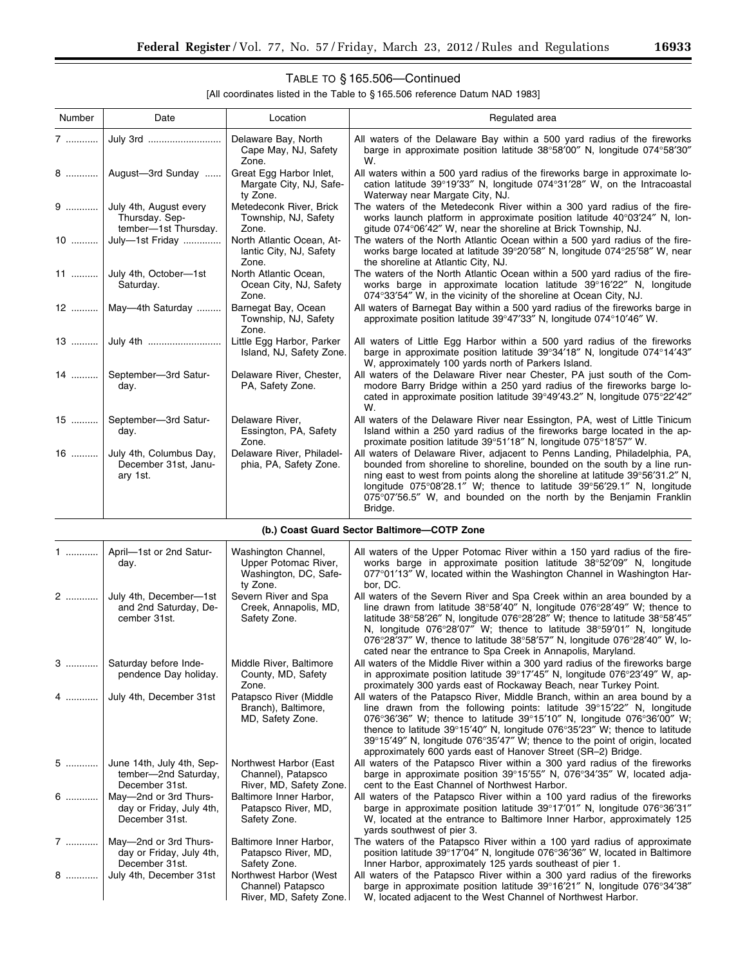▀

# TABLE TO § 165.506—Continued

| Number | Date                                                                 | Location                                                       | Regulated area                                                                                                                                                                                                                                                                                                                                                                                  |
|--------|----------------------------------------------------------------------|----------------------------------------------------------------|-------------------------------------------------------------------------------------------------------------------------------------------------------------------------------------------------------------------------------------------------------------------------------------------------------------------------------------------------------------------------------------------------|
| 7      | July 3rd                                                             | Delaware Bay, North<br>Cape May, NJ, Safety<br>Zone.           | All waters of the Delaware Bay within a 500 yard radius of the fireworks<br>barge in approximate position latitude 38°58'00" N, longitude 074°58'30"<br>W.                                                                                                                                                                                                                                      |
|        | 8    August-3rd Sunday                                               | Great Egg Harbor Inlet,<br>Margate City, NJ, Safe-<br>ty Zone. | All waters within a 500 yard radius of the fireworks barge in approximate lo-<br>cation latitude 39°19'33" N, longitude 074°31'28" W, on the Intracoastal<br>Waterway near Margate City, NJ.                                                                                                                                                                                                    |
|        | $9$ July 4th, August every<br>Thursday. Sep-<br>tember-1st Thursday. | Metedeconk River, Brick<br>Township, NJ, Safety<br>Zone.       | The waters of the Metedeconk River within a 300 yard radius of the fire-<br>works launch platform in approximate position latitude 40°03'24" N, lon-<br>gitude 074°06'42" W, near the shoreline at Brick Township, NJ.                                                                                                                                                                          |
|        | 10  July-1st Friday                                                  | North Atlantic Ocean, At-<br>lantic City, NJ, Safety<br>Zone.  | The waters of the North Atlantic Ocean within a 500 yard radius of the fire-<br>works barge located at latitude 39°20'58" N, longitude 074°25'58" W, near<br>the shoreline at Atlantic City, NJ.                                                                                                                                                                                                |
|        | 11  July 4th, October-1st<br>Saturday.                               | North Atlantic Ocean,<br>Ocean City, NJ, Safety<br>Zone.       | The waters of the North Atlantic Ocean within a 500 yard radius of the fire-<br>works barge in approximate location latitude 39°16'22" N, longitude<br>074°33'54" W, in the vicinity of the shoreline at Ocean City, NJ.                                                                                                                                                                        |
|        | 12    May—4th Saturday                                               | Barnegat Bay, Ocean<br>Township, NJ, Safety<br>Zone.           | All waters of Barnegat Bay within a 500 yard radius of the fireworks barge in<br>approximate position latitude 39°47'33" N, longitude 074°10'46" W.                                                                                                                                                                                                                                             |
|        | 13  July 4th                                                         | Little Egg Harbor, Parker<br>Island, NJ, Safety Zone.          | All waters of Little Egg Harbor within a 500 yard radius of the fireworks<br>barge in approximate position latitude $39^{\circ}34'18''$ N, longitude $074^{\circ}14'43''$<br>W, approximately 100 yards north of Parkers Island.                                                                                                                                                                |
|        | 14    September-3rd Satur-<br>day.                                   | Delaware River, Chester,<br>PA, Safety Zone.                   | All waters of the Delaware River near Chester, PA just south of the Com-<br>modore Barry Bridge within a 250 yard radius of the fireworks barge lo-<br>cated in approximate position latitude 39°49'43.2" N, longitude 075°22'42"<br>W.                                                                                                                                                         |
| $15$   | September-3rd Satur-<br>day.                                         | Delaware River,<br>Essington, PA, Safety<br>Zone.              | All waters of the Delaware River near Essington, PA, west of Little Tinicum<br>Island within a 250 yard radius of the fireworks barge located in the ap-<br>proximate position latitude 39°51'18" N, longitude 075°18'57" W.                                                                                                                                                                    |
|        | 16  July 4th, Columbus Day,<br>December 31st, Janu-<br>ary 1st.      | Delaware River, Philadel-<br>phia, PA, Safety Zone.            | All waters of Delaware River, adjacent to Penns Landing, Philadelphia, PA,<br>bounded from shoreline to shoreline, bounded on the south by a line run-<br>ning east to west from points along the shoreline at latitude 39°56′31.2″ N,<br>longitude 075°08'28.1" W; thence to latitude 39°56'29.1" N, longitude<br>075°07'56.5" W, and bounded on the north by the Benjamin Franklin<br>Bridge. |

|  |  |  |  | (b.) Coast Guard Sector Baltimore-COTP Zone |  |  |
|--|--|--|--|---------------------------------------------|--|--|
|--|--|--|--|---------------------------------------------|--|--|

| April-1st or 2nd Satur-<br>day.                                     | Washington Channel,<br>Upper Potomac River,<br>Washington, DC, Safe-<br>ty Zone. | All waters of the Upper Potomac River within a 150 yard radius of the fire-<br>works barge in approximate position latitude 38°52'09" N, longitude<br>077°01'13" W, located within the Washington Channel in Washington Har-<br>bor, DC.                                                                                                                                                                                                                                                       |
|---------------------------------------------------------------------|----------------------------------------------------------------------------------|------------------------------------------------------------------------------------------------------------------------------------------------------------------------------------------------------------------------------------------------------------------------------------------------------------------------------------------------------------------------------------------------------------------------------------------------------------------------------------------------|
| July 4th, December-1st<br>and 2nd Saturday, De-<br>cember 31st.     | Severn River and Spa<br>Creek, Annapolis, MD,<br>Safety Zone.                    | All waters of the Severn River and Spa Creek within an area bounded by a<br>line drawn from latitude $38^{\circ}58'40''$ N, longitude $076^{\circ}28'49''$ W; thence to<br>latitude 38°58'26" N, longitude 076°28'28" W; thence to latitude 38°58'45"<br>N, longitude $076^{\circ}28'07''$ W; thence to latitude $38^{\circ}59'01''$ N, longitude<br>076°28'37" W, thence to latitude 38°58'57" N, longitude 076°28'40" W, lo-<br>cated near the entrance to Spa Creek in Annapolis, Maryland. |
| Saturday before Inde-<br>pendence Day holiday.                      | Middle River, Baltimore<br>County, MD, Safety<br>Zone.                           | All waters of the Middle River within a 300 yard radius of the fireworks barge<br>in approximate position latitude $39^{\circ}17'45''$ N, longitude $076^{\circ}23'49''$ W, ap-<br>proximately 300 yards east of Rockaway Beach, near Turkey Point.                                                                                                                                                                                                                                            |
| 4  July 4th, December 31st                                          | Patapsco River (Middle<br>Branch), Baltimore,<br>MD, Safety Zone.                | All waters of the Patapsco River, Middle Branch, within an area bound by a<br>line drawn from the following points: latitude 39°15'22" N, longitude<br>076°36′36″ W; thence to latitude 39°15′10″ N, longitude 076°36′00″ W;<br>thence to latitude $39^{\circ}15'40''$ N, longitude $076^{\circ}35'23''$ W; thence to latitude<br>39°15'49" N, longitude 076°35'47" W; thence to the point of origin, located<br>approximately 600 yards east of Hanover Street (SR-2) Bridge.                 |
| June 14th, July 4th, Sep-<br>tember-2nd Saturday,<br>December 31st. | Northwest Harbor (East<br>Channel), Patapsco<br>River, MD, Safety Zone.          | All waters of the Patapsco River within a 300 yard radius of the fireworks<br>barge in approximate position 39°15'55" N, 076°34'35" W, located adja-<br>cent to the East Channel of Northwest Harbor.                                                                                                                                                                                                                                                                                          |
| May-2nd or 3rd Thurs-<br>day or Friday, July 4th,<br>December 31st. | Baltimore Inner Harbor,<br>Patapsco River, MD,<br>Safety Zone.                   | All waters of the Patapsco River within a 100 yard radius of the fireworks<br>barge in approximate position latitude 39°17'01" N, longitude 076°36'31"<br>W, located at the entrance to Baltimore Inner Harbor, approximately 125<br>yards southwest of pier 3.                                                                                                                                                                                                                                |
| May-2nd or 3rd Thurs-<br>day or Friday, July 4th,<br>December 31st. | Baltimore Inner Harbor,<br>Patapsco River, MD,<br>Safety Zone.                   | The waters of the Patapsco River within a 100 yard radius of approximate<br>position latitude 39°17'04" N, longitude 076°36'36" W, located in Baltimore<br>Inner Harbor, approximately 125 yards southeast of pier 1.                                                                                                                                                                                                                                                                          |
| July 4th, December 31st                                             | Northwest Harbor (West<br>Channel) Patapsco<br>River, MD, Safety Zone.           | All waters of the Patapsco River within a 300 yard radius of the fireworks<br>barge in approximate position latitude 39°16'21" N, longitude 076°34'38"<br>W. located adjacent to the West Channel of Northwest Harbor.                                                                                                                                                                                                                                                                         |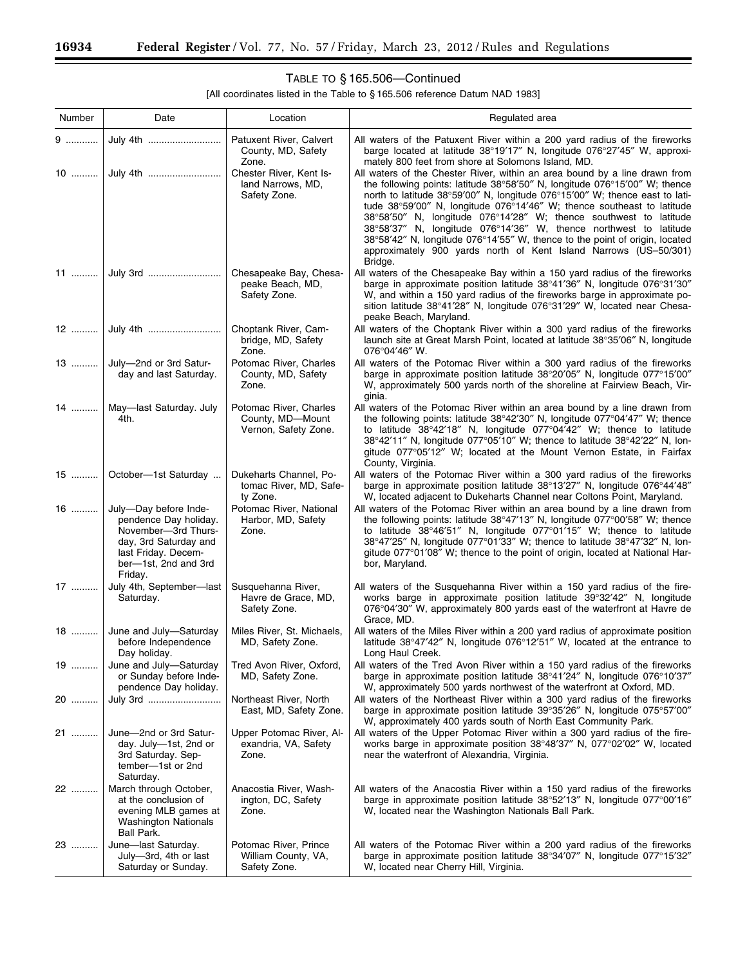۳

# TABLE TO § 165.506—Continued

| Number  | Date                                                                                                                                                     | Location                                                           | Regulated area                                                                                                                                                                                                                                                                                                                                                                                                                                                                                                                                                                                                                                |
|---------|----------------------------------------------------------------------------------------------------------------------------------------------------------|--------------------------------------------------------------------|-----------------------------------------------------------------------------------------------------------------------------------------------------------------------------------------------------------------------------------------------------------------------------------------------------------------------------------------------------------------------------------------------------------------------------------------------------------------------------------------------------------------------------------------------------------------------------------------------------------------------------------------------|
| 9       | July 4th                                                                                                                                                 | Patuxent River, Calvert<br>County, MD, Safety<br>Zone.             | All waters of the Patuxent River within a 200 yard radius of the fireworks<br>barge located at latitude 38°19'17" N, longitude 076°27'45" W, approxi-<br>mately 800 feet from shore at Solomons Island, MD.                                                                                                                                                                                                                                                                                                                                                                                                                                   |
|         |                                                                                                                                                          | Chester River, Kent Is-<br>land Narrows, MD,<br>Safety Zone.       | All waters of the Chester River, within an area bound by a line drawn from<br>the following points: latitude $38^{\circ}58'50''$ N, longitude $076^{\circ}15'00''$ W; thence<br>north to latitude 38°59'00" N, longitude 076°15'00" W; thence east to lati-<br>tude 38°59'00" N, longitude 076°14'46" W; thence southeast to latitude<br>38°58'50" N, longitude 076°14'28" W; thence southwest to latitude<br>38°58'37" N, longitude 076°14'36" W, thence northwest to latitude<br>38°58'42" N, longitude 076°14'55" W, thence to the point of origin, located<br>approximately 900 yards north of Kent Island Narrows (US-50/301)<br>Bridge. |
|         |                                                                                                                                                          | Chesapeake Bay, Chesa-<br>peake Beach, MD,<br>Safety Zone.         | All waters of the Chesapeake Bay within a 150 yard radius of the fireworks<br>barge in approximate position latitude $38^{\circ}41'36''$ N, longitude $076^{\circ}31'30''$<br>W, and within a 150 yard radius of the fireworks barge in approximate po-<br>sition latitude 38°41'28" N, longitude 076°31'29" W, located near Chesa-<br>peake Beach, Maryland.                                                                                                                                                                                                                                                                                 |
| 12 ………… |                                                                                                                                                          | Choptank River, Cam-<br>bridge, MD, Safety<br>Zone.                | All waters of the Choptank River within a 300 yard radius of the fireworks<br>launch site at Great Marsh Point, located at latitude 38°35'06" N, longitude<br>$076^{\circ}04'46''$ W.                                                                                                                                                                                                                                                                                                                                                                                                                                                         |
| 13      | July-2nd or 3rd Satur-<br>day and last Saturday.                                                                                                         | Potomac River, Charles<br>County, MD, Safety<br>Zone.              | All waters of the Potomac River within a 300 yard radius of the fireworks<br>barge in approximate position latitude 38°20'05" N, longitude 077°15'00"<br>W, approximately 500 yards north of the shoreline at Fairview Beach, Vir-<br>ginia.                                                                                                                                                                                                                                                                                                                                                                                                  |
| 14      | May-last Saturday. July<br>4th.                                                                                                                          | Potomac River, Charles<br>County, MD-Mount<br>Vernon, Safety Zone. | All waters of the Potomac River within an area bound by a line drawn from<br>the following points: latitude $38^{\circ}42'30''$ N, longitude $077^{\circ}04'47''$ W; thence<br>to latitude $38^{\circ}42'18''$ N, longitude $077^{\circ}04'42''$ W; thence to latitude<br>38°42'11" N, longitude 077°05'10" W; thence to latitude 38°42'22" N, lon-<br>gitude 077°05'12" W; located at the Mount Vernon Estate, in Fairfax<br>County, Virginia.                                                                                                                                                                                               |
| $15$    | October-1st Saturday                                                                                                                                     | Dukeharts Channel, Po-<br>tomac River, MD, Safe-<br>ty Zone.       | All waters of the Potomac River within a 300 yard radius of the fireworks<br>barge in approximate position latitude 38°13'27" N, longitude 076°44'48"<br>W, located adjacent to Dukeharts Channel near Coltons Point, Maryland.                                                                                                                                                                                                                                                                                                                                                                                                               |
| 16      | July-Day before Inde-<br>pendence Day holiday.<br>November-3rd Thurs-<br>day, 3rd Saturday and<br>last Friday. Decem-<br>ber-1st, 2nd and 3rd<br>Friday. | Potomac River, National<br>Harbor, MD, Safety<br>Zone.             | All waters of the Potomac River within an area bound by a line drawn from<br>the following points: latitude 38°47'13" N, longitude 077°00'58" W; thence<br>to latitude $38^{\circ}46'51''$ N, longitude $077^{\circ}01'15''$ W; thence to latitude<br>$38^{\circ}47'25''$ N, longitude 077 $^{\circ}01'33''$ W; thence to latitude $38^{\circ}47'32''$ N, lon-<br>gitude 077°01'08" W; thence to the point of origin, located at National Har-<br>bor, Maryland.                                                                                                                                                                              |
| 17      | July 4th, September-last<br>Saturday.                                                                                                                    | Susquehanna River,<br>Havre de Grace, MD,<br>Safety Zone.          | All waters of the Susquehanna River within a 150 yard radius of the fire-<br>works barge in approximate position latitude 39°32'42" N, longitude<br>076°04'30" W, approximately 800 yards east of the waterfront at Havre de<br>Grace, MD.                                                                                                                                                                                                                                                                                                                                                                                                    |
| 18      | June and July-Saturday<br>before Independence<br>Day holiday.                                                                                            | Miles River, St. Michaels,<br>MD, Safety Zone.                     | All waters of the Miles River within a 200 yard radius of approximate position<br>latitude $38^{\circ}47'42''$ N, longitude $076^{\circ}12'51''$ W, located at the entrance to<br>Long Haul Creek.                                                                                                                                                                                                                                                                                                                                                                                                                                            |
| $19$    | June and July-Saturday<br>or Sunday before Inde-<br>pendence Day holiday.                                                                                | Tred Avon River, Oxford,<br>MD, Safety Zone.                       | All waters of the Tred Avon River within a 150 yard radius of the fireworks<br>barge in approximate position latitude 38°41'24" N, longitude 076°10'37"<br>W, approximately 500 yards northwest of the waterfront at Oxford, MD.                                                                                                                                                                                                                                                                                                                                                                                                              |
| 20      | July 3rd                                                                                                                                                 | Northeast River, North<br>East, MD, Safety Zone.                   | All waters of the Northeast River within a 300 yard radius of the fireworks<br>barge in approximate position latitude 39°35'26" N, longitude 075°57'00"<br>W, approximately 400 yards south of North East Community Park.                                                                                                                                                                                                                                                                                                                                                                                                                     |
| 21      | June-2nd or 3rd Satur-<br>day. July-1st, 2nd or<br>3rd Saturday. Sep-<br>tember-1st or 2nd<br>Saturday.                                                  | Upper Potomac River, Al-<br>exandria, VA, Safety<br>Zone.          | All waters of the Upper Potomac River within a 300 yard radius of the fire-<br>works barge in approximate position 38°48'37" N, 077°02'02" W, located<br>near the waterfront of Alexandria, Virginia.                                                                                                                                                                                                                                                                                                                                                                                                                                         |
| 22      | March through October,<br>at the conclusion of<br>evening MLB games at<br>Washington Nationals<br>Ball Park.                                             | Anacostia River, Wash-<br>ington, DC, Safety<br>Zone.              | All waters of the Anacostia River within a 150 yard radius of the fireworks<br>barge in approximate position latitude 38°52'13" N, longitude 077°00'16"<br>W, located near the Washington Nationals Ball Park.                                                                                                                                                                                                                                                                                                                                                                                                                                |
| 23      | June-last Saturday.<br>July-3rd, 4th or last<br>Saturday or Sunday.                                                                                      | Potomac River, Prince<br>William County, VA,<br>Safety Zone.       | All waters of the Potomac River within a 200 yard radius of the fireworks<br>barge in approximate position latitude 38°34'07" N, longitude 077°15'32"<br>W, located near Cherry Hill, Virginia.                                                                                                                                                                                                                                                                                                                                                                                                                                               |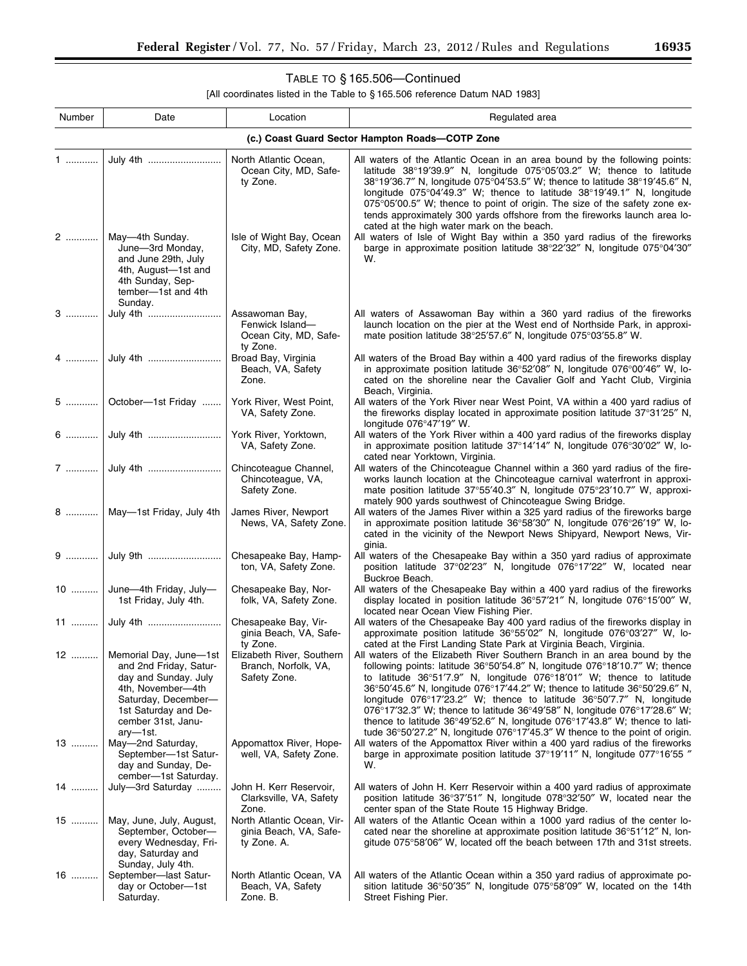▀

# TABLE TO § 165.506—Continued

| Number                                          | Date                                                                                                                                                 | Location                                                               | Regulated area                                                                                                                                                                                                                                                                                                                                                                                                                                                                                                                                                                                                                                                                                                                          |  |  |  |
|-------------------------------------------------|------------------------------------------------------------------------------------------------------------------------------------------------------|------------------------------------------------------------------------|-----------------------------------------------------------------------------------------------------------------------------------------------------------------------------------------------------------------------------------------------------------------------------------------------------------------------------------------------------------------------------------------------------------------------------------------------------------------------------------------------------------------------------------------------------------------------------------------------------------------------------------------------------------------------------------------------------------------------------------------|--|--|--|
| (c.) Coast Guard Sector Hampton Roads-COTP Zone |                                                                                                                                                      |                                                                        |                                                                                                                                                                                                                                                                                                                                                                                                                                                                                                                                                                                                                                                                                                                                         |  |  |  |
| 1                                               | July 4th                                                                                                                                             | North Atlantic Ocean,<br>Ocean City, MD, Safe-<br>ty Zone.             | All waters of the Atlantic Ocean in an area bound by the following points:<br>latitude 38°19'39.9" N, longitude 075°05'03.2" W; thence to latitude<br>38°19'36.7" N, longitude 075°04'53.5" W; thence to latitude 38°19'45.6" N,<br>longitude $075^{\circ}04'49.3''$ W; thence to latitude $38^{\circ}19'49.1''$ N, longitude<br>075°05'00.5" W; thence to point of origin. The size of the safety zone ex-<br>tends approximately 300 yards offshore from the fireworks launch area lo-                                                                                                                                                                                                                                                |  |  |  |
| 2                                               | May-4th Sunday.<br>June-3rd Monday,<br>and June 29th, July<br>4th, August-1st and<br>4th Sunday, Sep-<br>tember-1st and 4th<br>Sunday.               | Isle of Wight Bay, Ocean<br>City, MD, Safety Zone.                     | cated at the high water mark on the beach.<br>All waters of Isle of Wight Bay within a 350 yard radius of the fireworks<br>barge in approximate position latitude 38°22'32" N, longitude 075°04'30"<br>W.                                                                                                                                                                                                                                                                                                                                                                                                                                                                                                                               |  |  |  |
| 3                                               | July 4th                                                                                                                                             | Assawoman Bay,<br>Fenwick Island-<br>Ocean City, MD, Safe-<br>ty Zone. | All waters of Assawoman Bay within a 360 yard radius of the fireworks<br>launch location on the pier at the West end of Northside Park, in approxi-<br>mate position latitude 38°25'57.6" N, longitude 075°03'55.8" W.                                                                                                                                                                                                                                                                                                                                                                                                                                                                                                                  |  |  |  |
| 4 1                                             | July 4th                                                                                                                                             | Broad Bay, Virginia<br>Beach, VA, Safety<br>Zone.                      | All waters of the Broad Bay within a 400 yard radius of the fireworks display<br>in approximate position latitude $36^{\circ}52'08''$ N, longitude $076^{\circ}00'46''$ W, lo-<br>cated on the shoreline near the Cavalier Golf and Yacht Club, Virginia<br>Beach, Virginia.                                                                                                                                                                                                                                                                                                                                                                                                                                                            |  |  |  |
| 5 …………                                          | October-1st Friday                                                                                                                                   | York River, West Point,<br>VA, Safety Zone.                            | All waters of the York River near West Point, VA within a 400 yard radius of<br>the fireworks display located in approximate position latitude 37°31'25" N,<br>longitude 076°47'19" W.                                                                                                                                                                                                                                                                                                                                                                                                                                                                                                                                                  |  |  |  |
|                                                 |                                                                                                                                                      | York River, Yorktown,<br>VA, Safety Zone.                              | All waters of the York River within a 400 yard radius of the fireworks display<br>in approximate position latitude 37°14'14" N, longitude 076°30'02" W, lo-<br>cated near Yorktown, Virginia.                                                                                                                                                                                                                                                                                                                                                                                                                                                                                                                                           |  |  |  |
|                                                 |                                                                                                                                                      | Chincoteague Channel,<br>Chincoteague, VA,<br>Safety Zone.             | All waters of the Chincoteague Channel within a 360 yard radius of the fire-<br>works launch location at the Chincoteague carnival waterfront in approxi-<br>mate position latitude 37°55'40.3" N, longitude 075°23'10.7" W, approxi-<br>mately 900 yards southwest of Chincoteague Swing Bridge.                                                                                                                                                                                                                                                                                                                                                                                                                                       |  |  |  |
|                                                 | May-1st Friday, July 4th                                                                                                                             | James River, Newport<br>News, VA, Safety Zone.                         | All waters of the James River within a 325 yard radius of the fireworks barge<br>in approximate position latitude $36^{\circ}58'30''$ N, longitude $076^{\circ}26'19''$ W, lo-<br>cated in the vicinity of the Newport News Shipyard, Newport News, Vir-<br>ginia.                                                                                                                                                                                                                                                                                                                                                                                                                                                                      |  |  |  |
|                                                 |                                                                                                                                                      | Chesapeake Bay, Hamp-<br>ton, VA, Safety Zone.                         | All waters of the Chesapeake Bay within a 350 yard radius of approximate<br>position latitude 37°02'23" N, longitude 076°17'22" W, located near<br>Buckroe Beach.                                                                                                                                                                                                                                                                                                                                                                                                                                                                                                                                                                       |  |  |  |
|                                                 | 10  June-4th Friday, July-<br>1st Friday, July 4th.                                                                                                  | Chesapeake Bay, Nor-<br>folk, VA, Safety Zone.                         | All waters of the Chesapeake Bay within a 400 yard radius of the fireworks<br>display located in position latitude 36°57'21" N, longitude 076°15'00" W,<br>located near Ocean View Fishing Pier.                                                                                                                                                                                                                                                                                                                                                                                                                                                                                                                                        |  |  |  |
|                                                 |                                                                                                                                                      | Chesapeake Bay, Vir-<br>ginia Beach, VA, Safe-<br>ty Zone.             | All waters of the Chesapeake Bay 400 yard radius of the fireworks display in<br>approximate position latitude 36°55'02" N, longitude 076°03'27" W, lo-<br>cated at the First Landing State Park at Virginia Beach, Virginia.                                                                                                                                                                                                                                                                                                                                                                                                                                                                                                            |  |  |  |
| 12                                              | and 2nd Friday, Satur-<br>day and Sunday. July<br>4th, November-4th<br>Saturday, December-<br>1st Saturday and De-<br>cember 31st, Janu-<br>ary—1st. | Branch, Norfolk, VA,<br>Safety Zone.                                   | Memorial Day, June-1st   Elizabeth River, Southern   All waters of the Elizabeth River Southern Branch in an area bound by the<br>following points: latitude 36°50'54.8" N, longitude 076°18'10.7" W; thence<br>to latitude $36^{\circ}51'7.9''$ N, longitude $076^{\circ}18'01''$ W; thence to latitude<br>36°50′45.6″ N, longitude 076°17′44.2″ W; thence to latitude 36°50′29.6″ N,<br>longitude 076°17'23.2" W; thence to latitude 36°50'7.7" N, longitude<br>076°17'32.3" W; thence to latitude $36^{\circ}49'58''$ N, longitude 076°17'28.6" W;<br>thence to latitude $36^{\circ}49'52.6''$ N, longitude $076^{\circ}17'43.8''$ W; thence to lati-<br>tude 36°50'27.2" N, longitude 076°17'45.3" W thence to the point of origin. |  |  |  |
| 13                                              | May-2nd Saturday,<br>September-1st Satur-<br>day and Sunday, De-<br>cember-1st Saturday.                                                             | Appomattox River, Hope-<br>well, VA, Safety Zone.                      | All waters of the Appomattox River within a 400 yard radius of the fireworks<br>barge in approximate position latitude 37°19'11" N, longitude 077°16'55 "<br>W.                                                                                                                                                                                                                                                                                                                                                                                                                                                                                                                                                                         |  |  |  |
| 14                                              | July-3rd Saturday                                                                                                                                    | John H. Kerr Reservoir,<br>Clarksville, VA, Safety<br>Zone.            | All waters of John H. Kerr Reservoir within a 400 yard radius of approximate<br>position latitude 36°37'51" N, longitude 078°32'50" W, located near the<br>center span of the State Route 15 Highway Bridge.                                                                                                                                                                                                                                                                                                                                                                                                                                                                                                                            |  |  |  |
| 15                                              | May, June, July, August,<br>September, October-<br>every Wednesday, Fri-<br>day, Saturday and<br>Sunday, July 4th.                                   | North Atlantic Ocean, Vir-<br>ginia Beach, VA, Safe-<br>ty Zone. A.    | All waters of the Atlantic Ocean within a 1000 yard radius of the center lo-<br>cated near the shoreline at approximate position latitude 36°51'12" N, lon-<br>gitude 075°58'06" W, located off the beach between 17th and 31st streets.                                                                                                                                                                                                                                                                                                                                                                                                                                                                                                |  |  |  |
| 16                                              | September-last Satur-<br>day or October-1st<br>Saturday.                                                                                             | North Atlantic Ocean, VA<br>Beach, VA, Safety<br>Zone. B.              | All waters of the Atlantic Ocean within a 350 yard radius of approximate po-<br>sition latitude $36^{\circ}50'35''$ N, longitude $075^{\circ}58'09''$ W, located on the 14th<br>Street Fishing Pier.                                                                                                                                                                                                                                                                                                                                                                                                                                                                                                                                    |  |  |  |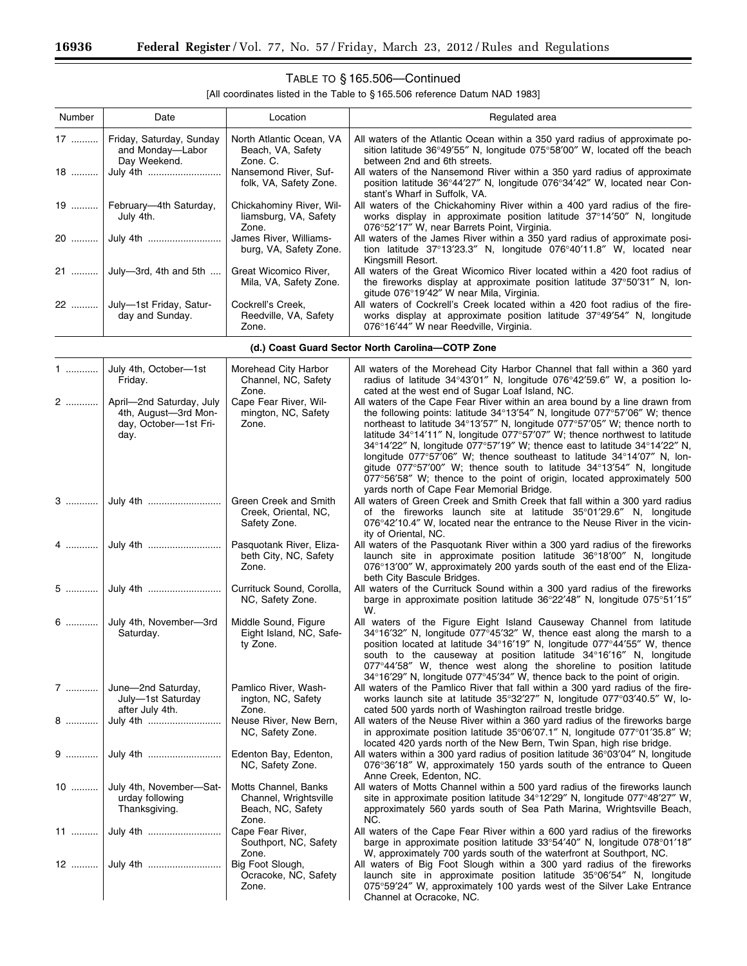۳

# TABLE TO § 165.506—Continued

| Number | Date                                                         | Location                                                   | Regulated area                                                                                                                                                                                                 |
|--------|--------------------------------------------------------------|------------------------------------------------------------|----------------------------------------------------------------------------------------------------------------------------------------------------------------------------------------------------------------|
|        | Friday, Saturday, Sunday<br>and Monday-Labor<br>Day Weekend. | North Atlantic Ocean, VA<br>Beach, VA, Safety<br>Zone. C.  | All waters of the Atlantic Ocean within a 350 yard radius of approximate po-<br>sition latitude $36^{\circ}49'55''$ N, longitude $075^{\circ}58'00''$ W, located off the beach<br>between 2nd and 6th streets. |
|        | 18  July 4th                                                 | Nansemond River, Suf-<br>folk, VA, Safety Zone.            | All waters of the Nansemond River within a 350 yard radius of approximate<br>position latitude 36°44'27" N, longitude 076°34'42" W, located near Con-<br>stant's Wharf in Suffolk, VA.                         |
|        | 19    February—4th Saturday,<br>July 4th.                    | Chickahominy River, Wil-<br>liamsburg, VA, Safety<br>Zone. | All waters of the Chickahominy River within a 400 yard radius of the fire-<br>works display in approximate position latitude 37°14'50" N, longitude<br>076°52'17" W, near Barrets Point, Virginia.             |
|        |                                                              | James River, Williams-<br>burg, VA, Safety Zone.           | All waters of the James River within a 350 yard radius of approximate posi-<br>tion latitude $37^{\circ}13'23.3''$ N, longitude $076^{\circ}40'11.8''$ W, located near<br>Kingsmill Resort.                    |
|        | 21  July-3rd, 4th and 5th                                    | Great Wicomico River,<br>Mila, VA, Safety Zone.            | All waters of the Great Wicomico River located within a 420 foot radius of<br>the fireworks display at approximate position latitude 37°50'31" N, lon-<br>gitude 076°19'42" W near Mila, Virginia.             |
|        | 22    July-1st Friday, Satur-<br>day and Sunday.             | Cockrell's Creek,<br>Reedville, VA, Safety<br>Zone.        | All waters of Cockrell's Creek located within a 420 foot radius of the fire-<br>works display at approximate position latitude 37°49'54" N, longitude<br>076°16'44" W near Reedville, Virginia.                |

|  |  |  |  |  | (d.) Coast Guard Sector North Carolina-COTP Zone |  |  |
|--|--|--|--|--|--------------------------------------------------|--|--|
|--|--|--|--|--|--------------------------------------------------|--|--|

|   | $1$ July 4th, October-1st<br>Friday.                                                   | Morehead City Harbor<br>Channel, NC, Safety<br>Zone.                        | All waters of the Morehead City Harbor Channel that fall within a 360 yard<br>radius of latitude 34°43'01" N, longitude 076°42'59.6" W, a position lo-<br>cated at the west end of Sugar Loaf Island, NC.                                                                                                                                                                                                                                                                                                                                                                                                                                                                                                           |
|---|----------------------------------------------------------------------------------------|-----------------------------------------------------------------------------|---------------------------------------------------------------------------------------------------------------------------------------------------------------------------------------------------------------------------------------------------------------------------------------------------------------------------------------------------------------------------------------------------------------------------------------------------------------------------------------------------------------------------------------------------------------------------------------------------------------------------------------------------------------------------------------------------------------------|
|   | 2    April-2nd Saturday, July<br>4th, August-3rd Mon-<br>day, October-1st Fri-<br>day. | Cape Fear River, Wil-<br>mington, NC, Safety<br>Zone.                       | All waters of the Cape Fear River within an area bound by a line drawn from<br>the following points: latitude 34°13'54" N, longitude 077°57'06" W; thence<br>northeast to latitude 34°13'57" N, longitude 077°57'05" W; thence north to<br>latitude $34^{\circ}14'11''$ N, longitude $077^{\circ}57'07''$ W; thence northwest to latitude<br>34°14'22" N, longitude 077°57'19" W; thence east to latitude 34°14'22" N,<br>longitude 077°57'06" W; thence southeast to latitude 34°14'07" N, lon-<br>gitude $077^{\circ}57'00''$ W; thence south to latitude $34^{\circ}13'54''$ N, longitude<br>077°56′58″ W; thence to the point of origin, located approximately 500<br>yards north of Cape Fear Memorial Bridge. |
|   |                                                                                        | Green Creek and Smith<br>Creek, Oriental, NC,<br>Safety Zone.               | All waters of Green Creek and Smith Creek that fall within a 300 yard radius<br>of the fireworks launch site at latitude 35°01'29.6" N, longitude<br>076°42'10.4" W, located near the entrance to the Neuse River in the vicin-<br>ity of Oriental, NC.                                                                                                                                                                                                                                                                                                                                                                                                                                                             |
|   |                                                                                        | Pasquotank River, Eliza-<br>beth City, NC, Safety<br>Zone.                  | All waters of the Pasquotank River within a 300 yard radius of the fireworks<br>launch site in approximate position latitude 36°18'00" N, longitude<br>076°13'00" W, approximately 200 yards south of the east end of the Eliza-<br>beth City Bascule Bridges.                                                                                                                                                                                                                                                                                                                                                                                                                                                      |
|   |                                                                                        | Currituck Sound, Corolla,<br>NC, Safety Zone.                               | All waters of the Currituck Sound within a 300 yard radius of the fireworks<br>barge in approximate position latitude 36°22′48″ N, longitude 075°51′15″<br>W.                                                                                                                                                                                                                                                                                                                                                                                                                                                                                                                                                       |
|   | 6  July 4th, November-3rd<br>Saturday.                                                 | Middle Sound, Figure<br>Eight Island, NC, Safe-<br>ty Zone.                 | All waters of the Figure Eight Island Causeway Channel from latitude<br>$34^{\circ}16'32''$ N, longitude 077 $^{\circ}45'32''$ W, thence east along the marsh to a<br>position located at latitude 34°16'19" N, longitude 077°44'55" W, thence<br>south to the causeway at position latitude 34°16'16" N, longitude<br>077°44'58" W, thence west along the shoreline to position latitude<br>34°16'29" N, longitude 077°45'34" W, thence back to the point of origin.                                                                                                                                                                                                                                               |
|   | 7  June-2nd Saturday,<br>July-1st Saturday<br>after July 4th.                          | Pamlico River, Wash-<br>ington, NC, Safety<br>Zone.                         | All waters of the Pamlico River that fall within a 300 yard radius of the fire-<br>works launch site at latitude 35°32'27" N, longitude 077°03'40.5" W, lo-<br>cated 500 yards north of Washington railroad trestle bridge.                                                                                                                                                                                                                                                                                                                                                                                                                                                                                         |
| 8 | July 4th                                                                               | Neuse River, New Bern,<br>NC, Safety Zone.                                  | All waters of the Neuse River within a 360 yard radius of the fireworks barge<br>in approximate position latitude 35°06'07.1" N, longitude 077°01'35.8" W;<br>located 420 yards north of the New Bern, Twin Span, high rise bridge.                                                                                                                                                                                                                                                                                                                                                                                                                                                                                 |
| 9 | July 4th                                                                               | Edenton Bay, Edenton,<br>NC, Safety Zone.                                   | All waters within a 300 yard radius of position latitude $36^{\circ}03'04''$ N, longitude<br>076°36'18" W, approximately 150 yards south of the entrance to Queen<br>Anne Creek, Edenton, NC.                                                                                                                                                                                                                                                                                                                                                                                                                                                                                                                       |
|   | 10  July 4th, November-Sat-<br>urday following<br>Thanksgiving.                        | Motts Channel, Banks<br>Channel, Wrightsville<br>Beach, NC, Safety<br>Zone. | All waters of Motts Channel within a 500 yard radius of the fireworks launch<br>site in approximate position latitude $34^{\circ}12'29''$ N, longitude $077^{\circ}48'27''$ W,<br>approximately 560 yards south of Sea Path Marina, Wrightsville Beach,<br>NC.                                                                                                                                                                                                                                                                                                                                                                                                                                                      |
|   |                                                                                        | Cape Fear River,<br>Southport, NC, Safety<br>Zone.                          | All waters of the Cape Fear River within a 600 yard radius of the fireworks<br>barge in approximate position latitude 33°54'40" N, longitude 078°01'18"<br>W, approximately 700 yards south of the waterfront at Southport, NC.                                                                                                                                                                                                                                                                                                                                                                                                                                                                                     |
|   |                                                                                        | Big Foot Slough,<br>Ocracoke, NC, Safety<br>Zone.                           | All waters of Big Foot Slough within a 300 yard radius of the fireworks<br>launch site in approximate position latitude 35°06'54" N, longitude<br>075°59'24" W, approximately 100 yards west of the Silver Lake Entrance<br>Channel at Ocracoke, NC.                                                                                                                                                                                                                                                                                                                                                                                                                                                                |